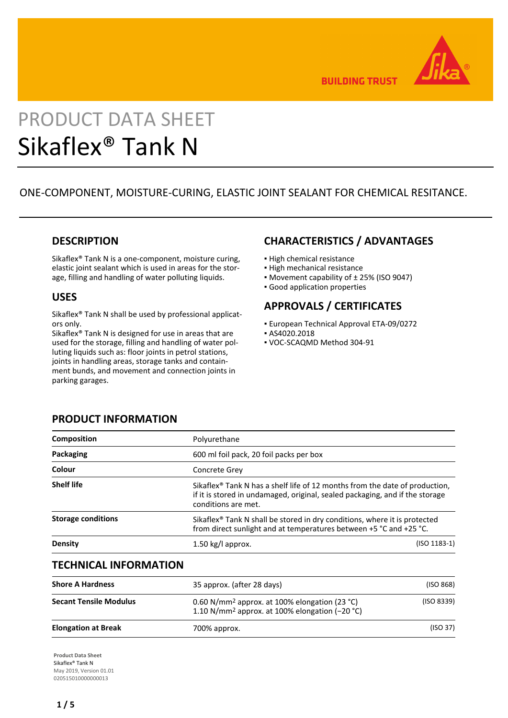

**BUILDING TRUST** 

# PRODUCT DATA SHEET Sikaflex® Tank N

# ONE-COMPONENT, MOISTURE-CURING, ELASTIC JOINT SEALANT FOR CHEMICAL RESITANCE.

## **DESCRIPTION**

Sikaflex® Tank N is a one-component, moisture curing, elastic joint sealant which is used in areas for the storage, filling and handling of water polluting liquids.

## **USES**

Sikaflex® Tank N shall be used by professional applicators only.

Sikaflex® Tank N is designed for use in areas that are used for the storage, filling and handling of water polluting liquids such as: floor joints in petrol stations, joints in handling areas, storage tanks and containment bunds, and movement and connection joints in parking garages.

# **CHARACTERISTICS / ADVANTAGES**

- **· High chemical resistance**
- **.** High mechanical resistance
- Movement capability of ± 25% (ISO 9047)
- Good application properties

# **APPROVALS / CERTIFICATES**

- European Technical Approval ETA-09/0272
- AS4020.2018
- VOC-SCAQMD Method 304-91

| Polyurethane                            |                                                                                                                                                                         |  |  |
|-----------------------------------------|-------------------------------------------------------------------------------------------------------------------------------------------------------------------------|--|--|
| 600 ml foil pack, 20 foil packs per box |                                                                                                                                                                         |  |  |
| <b>Concrete Grev</b>                    |                                                                                                                                                                         |  |  |
| conditions are met.                     | Sikaflex <sup>®</sup> Tank N has a shelf life of 12 months from the date of production,<br>if it is stored in undamaged, original, sealed packaging, and if the storage |  |  |
|                                         | Sikaflex <sup>®</sup> Tank N shall be stored in dry conditions, where it is protected<br>from direct sunlight and at temperatures between +5 °C and +25 °C.             |  |  |
| $1.50$ kg/l approx.                     | $(ISO 1183-1)$                                                                                                                                                          |  |  |
|                                         |                                                                                                                                                                         |  |  |

## **TECHNICAL INFORMATION**

| <b>Shore A Hardness</b>       | 35 approx. (after 28 days)                                                                                                | (ISO 868)  |
|-------------------------------|---------------------------------------------------------------------------------------------------------------------------|------------|
|                               |                                                                                                                           |            |
| <b>Secant Tensile Modulus</b> | 0.60 N/mm <sup>2</sup> approx. at 100% elongation (23 °C)<br>1.10 N/mm <sup>2</sup> approx. at 100% elongation $(-20 °C)$ | (ISO 8339) |
| <b>Elongation at Break</b>    | 700% approx.                                                                                                              | (ISO 37)   |

**Product Data Sheet** Sikaflex® Tank N May 2019, Version 01.01 020515010000000013

# **PRODUCT INFORMATION**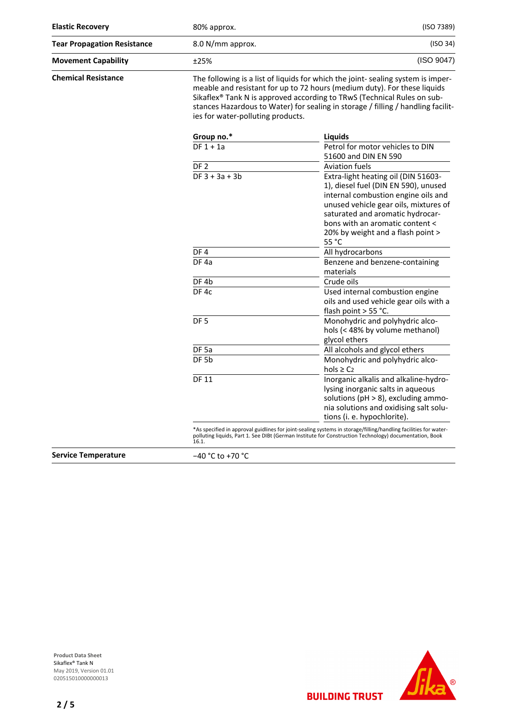| <b>Elastic Recovery</b>            | 80% approx.                       |                                                                                                                                                                                                                                                                                                                             | (ISO 7389) |  |
|------------------------------------|-----------------------------------|-----------------------------------------------------------------------------------------------------------------------------------------------------------------------------------------------------------------------------------------------------------------------------------------------------------------------------|------------|--|
| <b>Tear Propagation Resistance</b> | 8.0 N/mm approx.                  | (ISO 34)                                                                                                                                                                                                                                                                                                                    |            |  |
| <b>Movement Capability</b>         | ±25%                              | (ISO 9047)                                                                                                                                                                                                                                                                                                                  |            |  |
| <b>Chemical Resistance</b>         | ies for water-polluting products. | The following is a list of liquids for which the joint- sealing system is imper-<br>meable and resistant for up to 72 hours (medium duty). For these liquids<br>Sikaflex® Tank N is approved according to TRwS (Technical Rules on sub-<br>stances Hazardous to Water) for sealing in storage / filling / handling facilit- |            |  |
|                                    | Group no.*                        | Liquids                                                                                                                                                                                                                                                                                                                     |            |  |
|                                    | $DF 1 + 1a$                       | Petrol for motor vehicles to DIN<br>51600 and DIN EN 590                                                                                                                                                                                                                                                                    |            |  |
|                                    | DF <sub>2</sub>                   | <b>Aviation fuels</b>                                                                                                                                                                                                                                                                                                       |            |  |
|                                    | $DF 3 + 3a + 3b$                  | Extra-light heating oil (DIN 51603-<br>1), diesel fuel (DIN EN 590), unused<br>internal combustion engine oils and<br>unused vehicle gear oils, mixtures of<br>saturated and aromatic hydrocar-<br>bons with an aromatic content <<br>20% by weight and a flash point ><br>55 °C                                            |            |  |
|                                    | DF4                               | All hydrocarbons                                                                                                                                                                                                                                                                                                            |            |  |
|                                    | DF <sub>4a</sub>                  | Benzene and benzene-containing<br>materials                                                                                                                                                                                                                                                                                 |            |  |
|                                    | DF <sub>4b</sub>                  | Crude oils                                                                                                                                                                                                                                                                                                                  |            |  |
|                                    | DF 4c                             | Used internal combustion engine<br>oils and used vehicle gear oils with a<br>flash point > 55 °C.                                                                                                                                                                                                                           |            |  |
|                                    | DF <sub>5</sub>                   | Monohydric and polyhydric alco-<br>hols (< 48% by volume methanol)<br>glycol ethers                                                                                                                                                                                                                                         |            |  |
|                                    | DF <sub>5a</sub>                  | All alcohols and glycol ethers                                                                                                                                                                                                                                                                                              |            |  |
|                                    | DF <sub>5b</sub>                  | Monohydric and polyhydric alco-<br>$hols \geq C2$                                                                                                                                                                                                                                                                           |            |  |
|                                    | <b>DF 11</b>                      | Inorganic alkalis and alkaline-hydro-<br>lysing inorganic salts in aqueous<br>solutions (pH > 8), excluding ammo-<br>nia solutions and oxidising salt solu-<br>tions (i. e. hypochlorite).                                                                                                                                  |            |  |
|                                    | 16.1.                             | *As specified in approval guidlines for joint-sealing systems in storage/filling/handling facilities for water-<br>polluting liquids, Part 1. See DIBt (German Institute for Construction Technology) documentation, Book                                                                                                   |            |  |

**Service Temperature** −40 °C to +70 °C

**Product Data Sheet** Sikaflex® Tank N May 2019, Version 01.01 020515010000000013

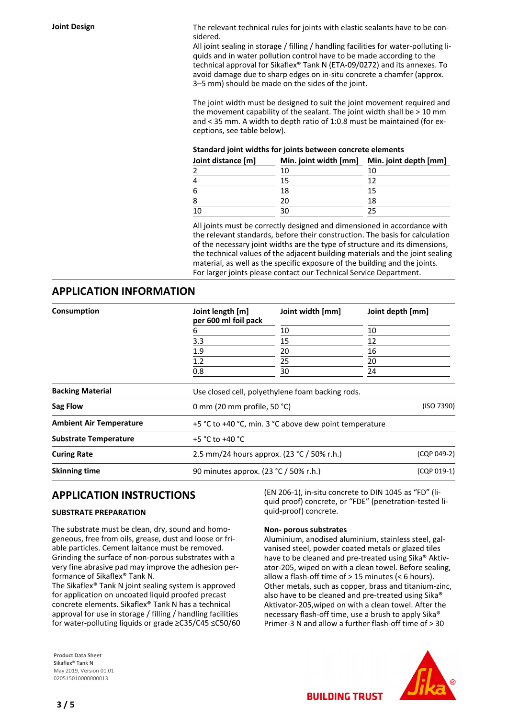**Joint Design** The relevant technical rules for joints with elastic sealants have to be considered.

> All joint sealing in storage / filling / handling facilities for water-polluting liquids and in water pollution control have to be made according to the technical approval for Sikaflex® Tank N (ETA-09/0272) and its annexes. To avoid damage due to sharp edges on in-situ concrete a chamfer (approx. 3–5 mm) should be made on the sides of the joint.

> The joint width must be designed to suit the joint movement required and the movement capability of the sealant. The joint width shall be > 10 mm and < 35 mm. A width to depth ratio of 1:0.8 must be maintained (for exceptions, see table below).

#### **Standard joint widths for joints between concrete elements**

| Joint distance [m] | Min. joint width [mm] | Min. joint depth [mm] |
|--------------------|-----------------------|-----------------------|
|                    | 10                    | 10                    |
| 4                  | 15                    |                       |
| 6                  | 18                    | 15                    |
| 8                  | 20                    | 18                    |
| 10                 | 30                    |                       |

All joints must be correctly designed and dimensioned in accordance with the relevant standards, before their construction. The basis for calculation of the necessary joint widths are the type of structure and its dimensions, the technical values of the adjacent building materials and the joint sealing material, as well as the specific exposure of the building and the joints. For larger joints please contact our Technical Service Department.

### **APPLICATION INFORMATION**

| Consumption                    | Joint length [m]<br>per 600 ml foil pack               | Joint width [mm]                                     | Joint depth [mm] |  |  |
|--------------------------------|--------------------------------------------------------|------------------------------------------------------|------------------|--|--|
|                                | 6                                                      | 10                                                   | 10               |  |  |
|                                | 3.3                                                    | 15                                                   | 12               |  |  |
|                                | 1.9                                                    | 20                                                   | 16               |  |  |
|                                | 1.2 <sub>2</sub>                                       | 25                                                   | 20               |  |  |
|                                | 0.8                                                    | 30                                                   | 24               |  |  |
| <b>Backing Material</b>        |                                                        | Use closed cell, polyethylene foam backing rods.     |                  |  |  |
| <b>Sag Flow</b>                |                                                        | (ISO 7390)<br>0 mm (20 mm profile, 50 $°C$ )         |                  |  |  |
| <b>Ambient Air Temperature</b> | +5 °C to +40 °C, min. 3 °C above dew point temperature |                                                      |                  |  |  |
| <b>Substrate Temperature</b>   | +5 °C to +40 °C                                        |                                                      |                  |  |  |
| <b>Curing Rate</b>             | 2.5 mm/24 hours approx. (23 °C / 50% r.h.)             |                                                      | (CQP 049-2)      |  |  |
| <b>Skinning time</b>           |                                                        | 90 minutes approx. (23 °C / 50% r.h.)<br>(CQP 019-1) |                  |  |  |
|                                |                                                        |                                                      |                  |  |  |

## **APPLICATION INSTRUCTIONS**

#### **SUBSTRATE PREPARATION**

The substrate must be clean, dry, sound and homogeneous, free from oils, grease, dust and loose or friable particles. Cement laitance must be removed. Grinding the surface of non-porous substrates with a very fine abrasive pad may improve the adhesion performance of Sikaflex® Tank N.

The Sikaflex® Tank N joint sealing system is approved for application on uncoated liquid proofed precast concrete elements. Sikaflex® Tank N has a technical approval for use in storage / filling / handling facilities for water-polluting liquids or grade ≥C35/C45 ≤C50/60

**Product Data Sheet** Sikaflex® Tank N May 2019, Version 01.01 020515010000000013

(EN 206-1), in-situ concrete to DIN 1045 as "FD" (liquid proof) concrete, or "FDE" (penetration-tested liquid-proof) concrete.

#### **Non- porous substrates**

Aluminium, anodised aluminium, stainless steel, galvanised steel, powder coated metals or glazed tiles have to be cleaned and pre-treated using Sika® Aktivator-205, wiped on with a clean towel. Before sealing, allow a flash-off time of > 15 minutes (< 6 hours). Other metals, such as copper, brass and titanium-zinc, also have to be cleaned and pre-treated using Sika® Aktivator-205,wiped on with a clean towel. After the necessary flash-off time, use a brush to apply Sika® Primer-3 N and allow a further flash-off time of > 30



**BUILDING TRUST**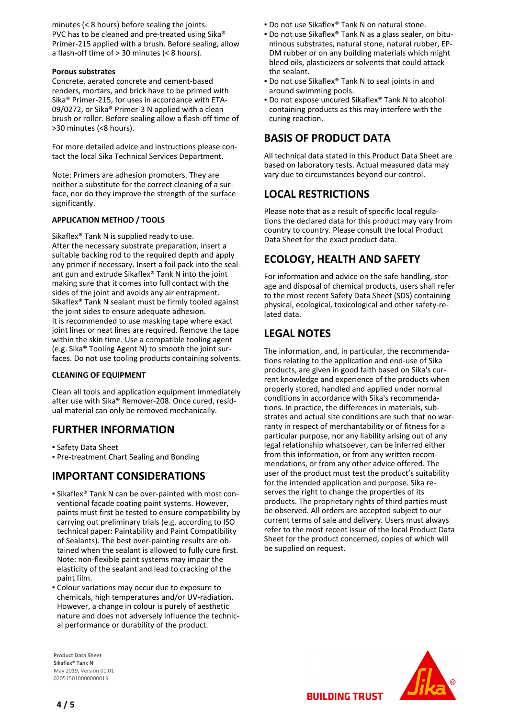minutes (< 8 hours) before sealing the joints. PVC has to be cleaned and pre-treated using Sika® Primer-215 applied with a brush. Before sealing, allow a flash-off time of > 30 minutes (< 8 hours).

#### **Porous substrates**

Concrete, aerated concrete and cement-based renders, mortars, and brick have to be primed with Sika® Primer-215, for uses in accordance with ETA-09/0272, or Sika® Primer-3 N applied with a clean brush or roller. Before sealing allow a flash-off time of >30 minutes (<8 hours).

For more detailed advice and instructions please contact the local Sika Technical Services Department.

Note: Primers are adhesion promoters. They are neither a substitute for the correct cleaning of a surface, nor do they improve the strength of the surface significantly.

#### **APPLICATION METHOD / TOOLS**

Sikaflex® Tank N is supplied ready to use. After the necessary substrate preparation, insert a suitable backing rod to the required depth and apply any primer if necessary. Insert a foil pack into the sealant gun and extrude Sikaflex® Tank N into the joint making sure that it comes into full contact with the sides of the joint and avoids any air entrapment. Sikaflex® Tank N sealant must be firmly tooled against the joint sides to ensure adequate adhesion. It is recommended to use masking tape where exact joint lines or neat lines are required. Remove the tape within the skin time. Use a compatible tooling agent (e.g. Sika® Tooling Agent N) to smooth the joint surfaces. Do not use tooling products containing solvents.

#### **CLEANING OF EQUIPMENT**

Clean all tools and application equipment immediately after use with Sika® Remover-208. Once cured, residual material can only be removed mechanically.

## **FURTHER INFORMATION**

- Safety Data Sheet
- Pre-treatment Chart Sealing and Bonding

## **IMPORTANT CONSIDERATIONS**

- Sikaflex® Tank N can be over-painted with most con-▪ ventional facade coating paint systems. However, paints must first be tested to ensure compatibility by carrying out preliminary trials (e.g. according to ISO technical paper: Paintability and Paint Compatibility of Sealants). The best over-painting results are obtained when the sealant is allowed to fully cure first. Note: non-flexible paint systems may impair the elasticity of the sealant and lead to cracking of the paint film.
- **Colour variations may occur due to exposure to** chemicals, high temperatures and/or UV-radiation. However, a change in colour is purely of aesthetic nature and does not adversely influence the technical performance or durability of the product.

**Product Data Sheet** Sikaflex® Tank N May 2019, Version 01.01 020515010000000013

- Do not use Sikaflex® Tank N on natural stone.
- **Do not use Sikaflex® Tank N as a glass sealer, on bitu**minous substrates, natural stone, natural rubber, EP-DM rubber or on any building materials which might bleed oils, plasticizers or solvents that could attack the sealant.
- Do not use Sikaflex® Tank N to seal joints in and around swimming pools.
- Do not expose uncured Sikaflex® Tank N to alcohol containing products as this may interfere with the curing reaction.

# **BASIS OF PRODUCT DATA**

All technical data stated in this Product Data Sheet are based on laboratory tests. Actual measured data may vary due to circumstances beyond our control.

## **LOCAL RESTRICTIONS**

Please note that as a result of specific local regulations the declared data for this product may vary from country to country. Please consult the local Product Data Sheet for the exact product data.

## **ECOLOGY, HEALTH AND SAFETY**

For information and advice on the safe handling, storage and disposal of chemical products, users shall refer to the most recent Safety Data Sheet (SDS) containing physical, ecological, toxicological and other safety-related data.

# **LEGAL NOTES**

The information, and, in particular, the recommendations relating to the application and end-use of Sika products, are given in good faith based on Sika's current knowledge and experience of the products when properly stored, handled and applied under normal conditions in accordance with Sika's recommendations. In practice, the differences in materials, substrates and actual site conditions are such that no warranty in respect of merchantability or of fitness for a particular purpose, nor any liability arising out of any legal relationship whatsoever, can be inferred either from this information, or from any written recommendations, or from any other advice offered. The user of the product must test the product's suitability for the intended application and purpose. Sika reserves the right to change the properties of its products. The proprietary rights of third parties must be observed. All orders are accepted subject to our current terms of sale and delivery. Users must always refer to the most recent issue of the local Product Data Sheet for the product concerned, copies of which will be supplied on request.